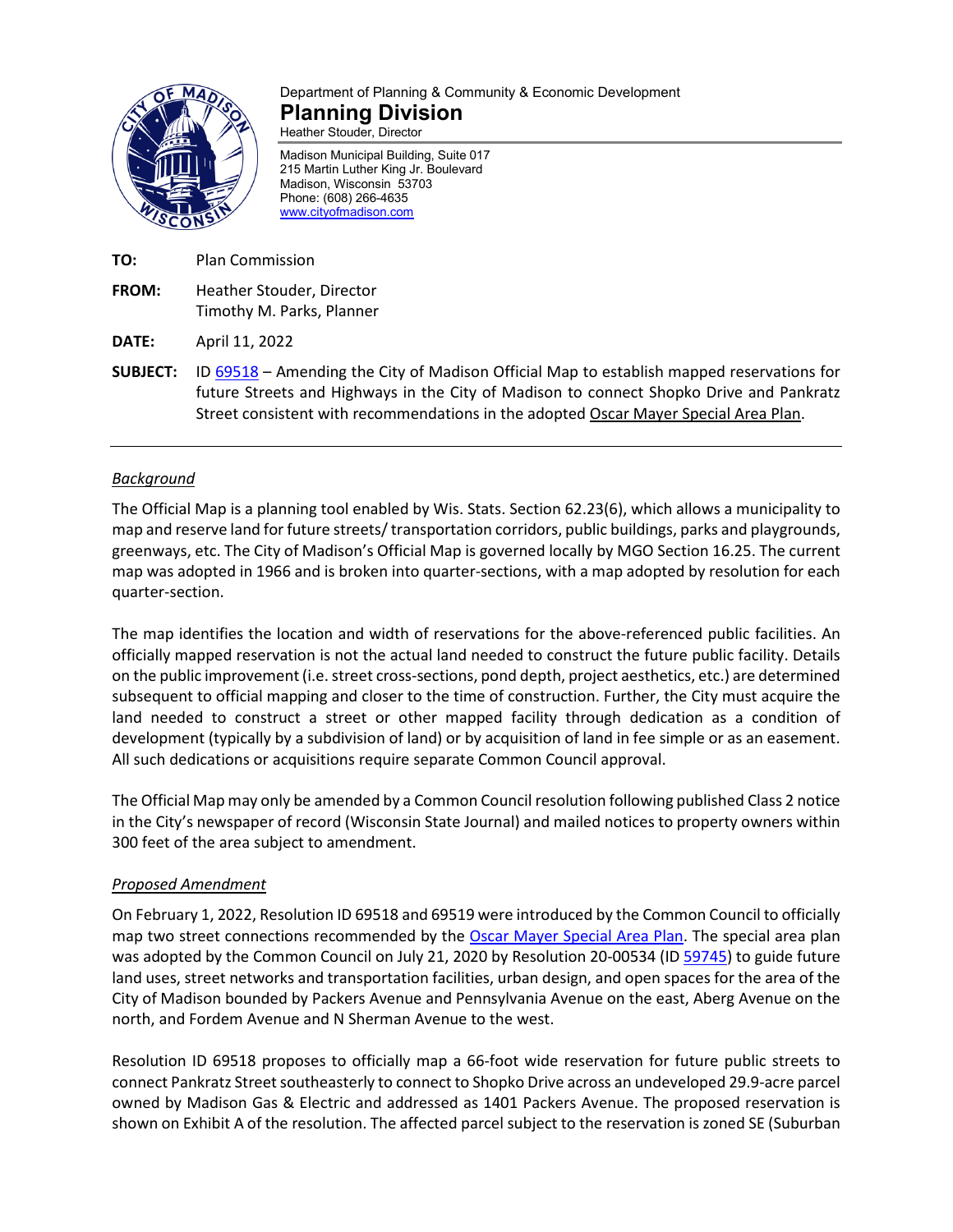

# Department of Planning & Community & Economic Development **Planning Division**

Heather Stouder, Director

Madison Municipal Building, Suite 017 215 Martin Luther King Jr. Boulevard Madison, Wisconsin 53703 Phone: (608) 266-4635 [www.cityofmadison.com](http://www.cityofmadison.com/) 

- **TO:**  Plan Commission
- **FROM:**  Heather Stouder, Director Timothy M. Parks, Planner
- **DATE:**  April 11, 2022
- **SUBJECT:** ID [69518](https://madison.legistar.com/LegislationDetail.aspx?ID=5393443&GUID=24EB47A3-D573-451B-B5B6-15D973EA027D)  Amending the City of Madison Official Map to establish mapped reservations for future Streets and Highways in the City of Madison to connect Shopko Drive and Pankratz Street consistent with recommendations in the adopted Oscar Mayer Special Area Plan.

## *Background*

The Official Map is a planning tool enabled by Wis. Stats. Section 62.23(6), which allows a municipality to map and reserve land for future streets/ transportation corridors, public buildings, parks and playgrounds, greenways, etc. The City of Madison's Official Map is governed locally by MGO Section 16.25. The current map was adopted in 1966 and is broken into quarter-sections, with a map adopted by resolution for each quarter-section.

The map identifies the location and width of reservations for the above-referenced public facilities. An officially mapped reservation is not the actual land needed to construct the future public facility. Details on the public improvement (i.e. street cross-sections, pond depth, project aesthetics, etc.) are determined subsequent to official mapping and closer to the time of construction. Further, the City must acquire the land needed to construct a street or other mapped facility through dedication as a condition of development (typically by a subdivision of land) or by acquisition of land in fee simple or as an easement. All such dedications or acquisitions require separate Common Council approval.

The Official Map may only be amended by a Common Council resolution following published Class 2 notice in the City's newspaper of record (Wisconsin State Journal) and mailed notices to property owners within 300 feet of the area subject to amendment.

### *Proposed Amendment*

On February 1, 2022, Resolution ID 69518 and 69519 were introduced by the Common Council to officially map two street connections recommended by the [Oscar Mayer Special Area Plan.](https://www.cityofmadison.com/dpced/planning/documents/OscarMayerSpecialAreaPlan.pdf) The special area plan was adopted by the Common Council on July 21, 2020 by Resolution 20-00534 (ID [59745\)](https://madison.legistar.com/LegislationDetail.aspx?ID=4343792&GUID=6A6BBBBB-BD58-48CB-8DBA-078788AE10F0) to guide future land uses, street networks and transportation facilities, urban design, and open spaces for the area of the City of Madison bounded by Packers Avenue and Pennsylvania Avenue on the east, Aberg Avenue on the north, and Fordem Avenue and N Sherman Avenue to the west.

Resolution ID 69518 proposes to officially map a 66-foot wide reservation for future public streets to connect Pankratz Street southeasterly to connect to Shopko Drive across an undeveloped 29.9-acre parcel owned by Madison Gas & Electric and addressed as 1401 Packers Avenue. The proposed reservation is shown on Exhibit A of the resolution. The affected parcel subject to the reservation is zoned SE (Suburban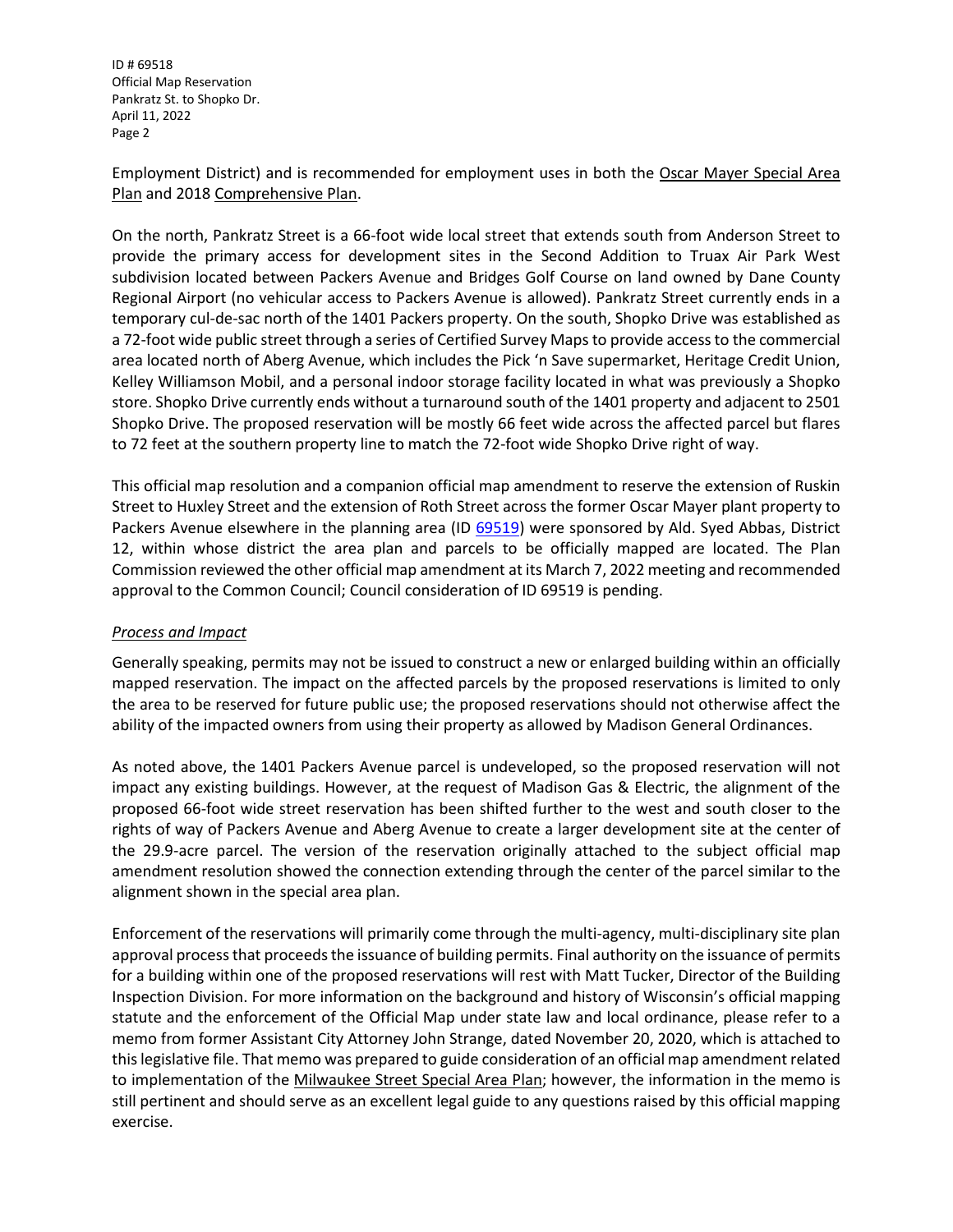ID # 69518 Official Map Reservation Pankratz St. to Shopko Dr. April 11, 2022 Page 2

Employment District) and is recommended for employment uses in both the Oscar Mayer Special Area Plan and 2018 Comprehensive Plan.

On the north, Pankratz Street is a 66-foot wide local street that extends south from Anderson Street to provide the primary access for development sites in the Second Addition to Truax Air Park West subdivision located between Packers Avenue and Bridges Golf Course on land owned by Dane County Regional Airport (no vehicular access to Packers Avenue is allowed). Pankratz Street currently ends in a temporary cul-de-sac north of the 1401 Packers property. On the south, Shopko Drive was established as a 72-foot wide public street through a series of Certified Survey Maps to provide access to the commercial area located north of Aberg Avenue, which includes the Pick 'n Save supermarket, Heritage Credit Union, Kelley Williamson Mobil, and a personal indoor storage facility located in what was previously a Shopko store. Shopko Drive currently ends without a turnaround south of the 1401 property and adjacent to 2501 Shopko Drive. The proposed reservation will be mostly 66 feet wide across the affected parcel but flares to 72 feet at the southern property line to match the 72-foot wide Shopko Drive right of way.

This official map resolution and a companion official map amendment to reserve the extension of Ruskin Street to Huxley Street and the extension of Roth Street across the former Oscar Mayer plant property to Packers Avenue elsewhere in the planning area (ID [69519\)](https://madison.legistar.com/LegislationDetail.aspx?ID=5393444&GUID=AB317D99-AB31-49E1-8FCC-BDC742AFC664) were sponsored by Ald. Syed Abbas, District 12, within whose district the area plan and parcels to be officially mapped are located. The Plan Commission reviewed the other official map amendment at its March 7, 2022 meeting and recommended approval to the Common Council; Council consideration of ID 69519 is pending.

#### *Process and Impact*

Generally speaking, permits may not be issued to construct a new or enlarged building within an officially mapped reservation. The impact on the affected parcels by the proposed reservations is limited to only the area to be reserved for future public use; the proposed reservations should not otherwise affect the ability of the impacted owners from using their property as allowed by Madison General Ordinances.

As noted above, the 1401 Packers Avenue parcel is undeveloped, so the proposed reservation will not impact any existing buildings. However, at the request of Madison Gas & Electric, the alignment of the proposed 66-foot wide street reservation has been shifted further to the west and south closer to the rights of way of Packers Avenue and Aberg Avenue to create a larger development site at the center of the 29.9-acre parcel. The version of the reservation originally attached to the subject official map amendment resolution showed the connection extending through the center of the parcel similar to the alignment shown in the special area plan.

Enforcement of the reservations will primarily come through the multi-agency, multi-disciplinary site plan approval process that proceeds the issuance of building permits. Final authority on the issuance of permits for a building within one of the proposed reservations will rest with Matt Tucker, Director of the Building Inspection Division. For more information on the background and history of Wisconsin's official mapping statute and the enforcement of the Official Map under state law and local ordinance, please refer to a memo from former Assistant City Attorney John Strange, dated November 20, 2020, which is attached to this legislative file. That memo was prepared to guide consideration of an official map amendment related to implementation of the Milwaukee Street Special Area Plan; however, the information in the memo is still pertinent and should serve as an excellent legal guide to any questions raised by this official mapping exercise.